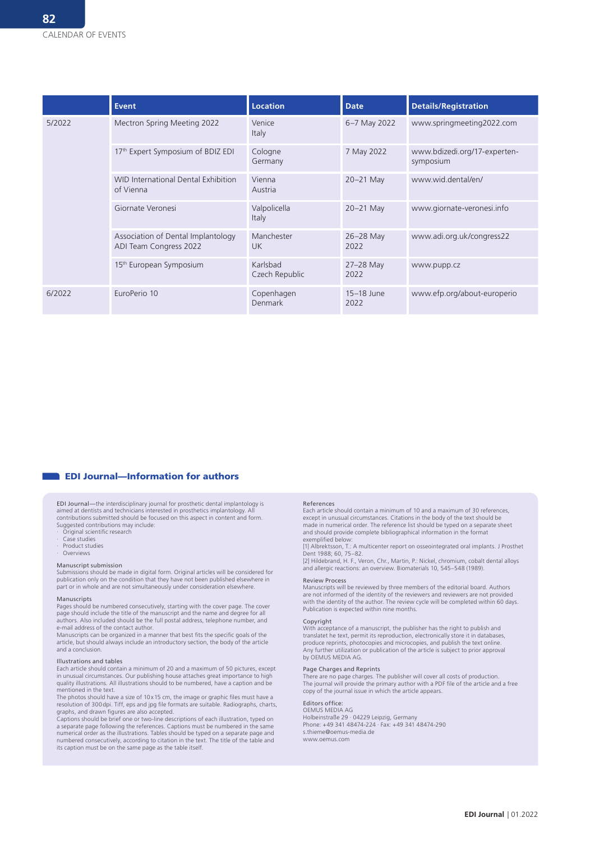|        | <b>Event</b>                                                 | <b>Location</b>            | <b>Date</b>        | <b>Details/Registration</b>               |
|--------|--------------------------------------------------------------|----------------------------|--------------------|-------------------------------------------|
| 5/2022 | Mectron Spring Meeting 2022                                  | Venice<br>Italy            | 6-7 May 2022       | www.springmeeting2022.com                 |
|        | 17th Expert Symposium of BDIZ EDI                            | Cologne<br>Germany         | 7 May 2022         | www.bdizedi.org/17-experten-<br>symposium |
|        | <b>WID International Dental Exhibition</b><br>of Vienna      | Vienna<br>Austria          | $20-21$ May        | www.wid.dental/en/                        |
|        | Giornate Veronesi                                            | Valpolicella<br>Italy      | $20-21$ May        | www.giornate-veronesi.info                |
|        | Association of Dental Implantology<br>ADI Team Congress 2022 | Manchester<br><b>UK</b>    | 26-28 May<br>2022  | www.adi.org.uk/congress22                 |
|        | 15 <sup>th</sup> European Symposium                          | Karlsbad<br>Czech Republic | 27-28 May<br>2022  | www.pupp.cz                               |
| 6/2022 | EuroPerio 10                                                 | Copenhagen<br>Denmark      | 15-18 June<br>2022 | www.efp.org/about-europerio               |

# **EDI Journal—Information for authors**

#### EDI Journal—the interdisciplinary journal for prosthetic dental implantology is aimed at dentists and technicians interested in prosthetics implantology. All contributions submitted should be focused on this aspect in content and form. Suggested contributions may include:

- · Original scientific research
- · Case studies
- Product studies **Overviews**
- 

## Manuscript submission

Submissions should be made in digital form. Original articles will be considered for publication only on the condition that they have not been published elsewhere in part or in whole and are not simultaneously under consideration elsewhere.

#### Manuscripts

Pages should be numbered consecutively, starting with the cover page. The cover page should include the title of the manuscript and the name and degree for all authors. Also included should be the full postal address, telephone number, and e-mail address of the contact author.

Manuscripts can be organized in a manner that best fits the specific goals of the article, but should always include an introductory section, the body of the article and a conclusion.

### Illustrations and tables

Each article should contain a minimum of 20 and a maximum of 50 pictures, except in unusual circumstances. Our publishing house attaches great importance to high quality illustrations. All illustrations should to be numbered, have a caption and be mentioned in the text.

The photos should have a size of 10x15 cm, the image or graphic files must have a resolution of 300dpi. Tiff, eps and jpg file formats are suitable. Radiographs, charts, graphs, and drawn figures are also accepted.

Captions should be brief one or two-line descriptions of each illustration, typed on a separate page following the references. Captions must be numbered in the same numerical order as the illustrations. Tables should be typed on a separate page and numbered consecutively, according to citation in the text. The title of the table and its caption must be on the same page as the table itself.

#### References

Each article should contain a minimum of 10 and a maximum of 30 references, except in unusual circumstances. Citations in the body of the text should be made in numerical order. The reference list should be typed on a separate sheet and should provide complete bibliographical information in the format exemplified below:

[1] Albrektsson, T.: A multicenter report on osseointegrated oral implants. J Prosthet

Dent 1988; 60, 75–82. [2] Hildebrand, H. F., Veron, Chr., Martin, P.: Nickel, chromium, cobalt dental alloys and allergic reactions: an overview. Biomaterials 10, 545–548 (1989).

### Review Process

Manuscripts will be reviewed by three members of the editorial board. Authors<br>are not informed of the identity of the reviewers and reviewers are not provided<br>with the identity of the author. The review cycle will be compl Publication is expected within nine months.

## Copyright

With acceptance of a manuscript, the publisher has the right to publish and translatet he text, permit its reproduction, electronically store it in databases, produce reprints, photocopies and microcopies, and publish the text online. Any further utilization or publication of the article is subject to prior approval by OEMUS MEDIA AG.

## Page Charges and Reprints

There are no page charges. The publisher will cover all costs of production. The journal will provide the primary author with a PDF file of the article and a free copy of the journal issue in which the article appears.

# Editors office: OEMUS MEDIA AG

Holbeinstraße 29 ∙ 04229 Leipzig, Germany Phone: +49 341 48474-224 ∙ Fax: +49 341 48474-290 s.thieme@oemus-media.de www.oemus.com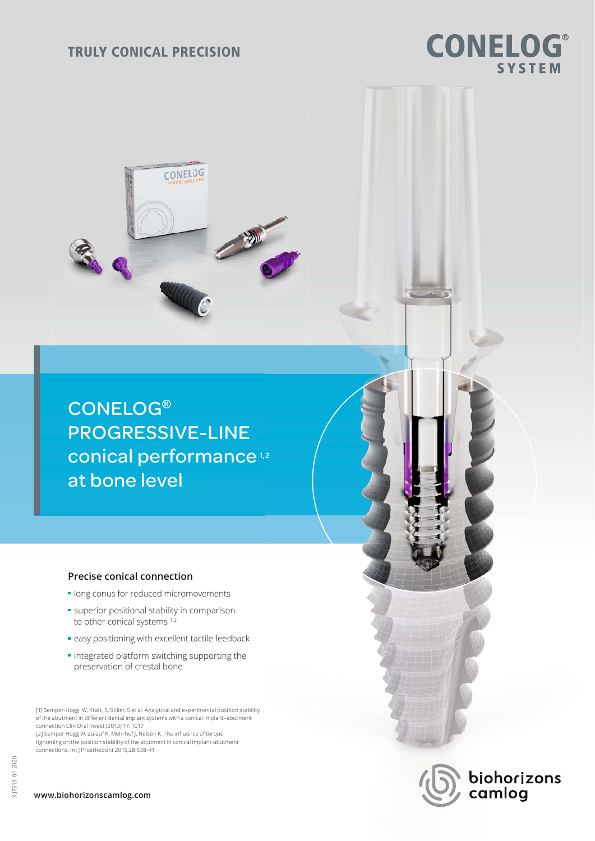# TRULY CONICAL PRECISION

**CONELOG** 

# CONELOG**®** PROGRESSIVE-LINE conical performance<sup>1,2</sup> at bone level

# **Precise conical connection**

- **In long conus for reduced micromovements**
- **superior positional stability in comparison** to other conical systems<sup>1,2</sup>
- **e** easy positioning with excellent tactile feedback
- **·** integrated platform switching supporting the preservation of crestal bone

[1] Semper-Hogg, W, Kraft, S, Stiller, S et al. Analytical and experimental position stability of the abutment in different dental implant systems with a conical implant–abutment connection Clin Oral Invest (2013) 17: 1017

[2] Semper Hogg W, Zulauf K, Mehrhof J, Nelson K. The influence of torque tightening on the position stability of the abutment in conical implant-abutment connections. Int J Prosthodont 2015;28:538-41

# **www.biohorizonscamlog.com**

biohorizons<br>camlog

# **CONELOG® SYSTEM**